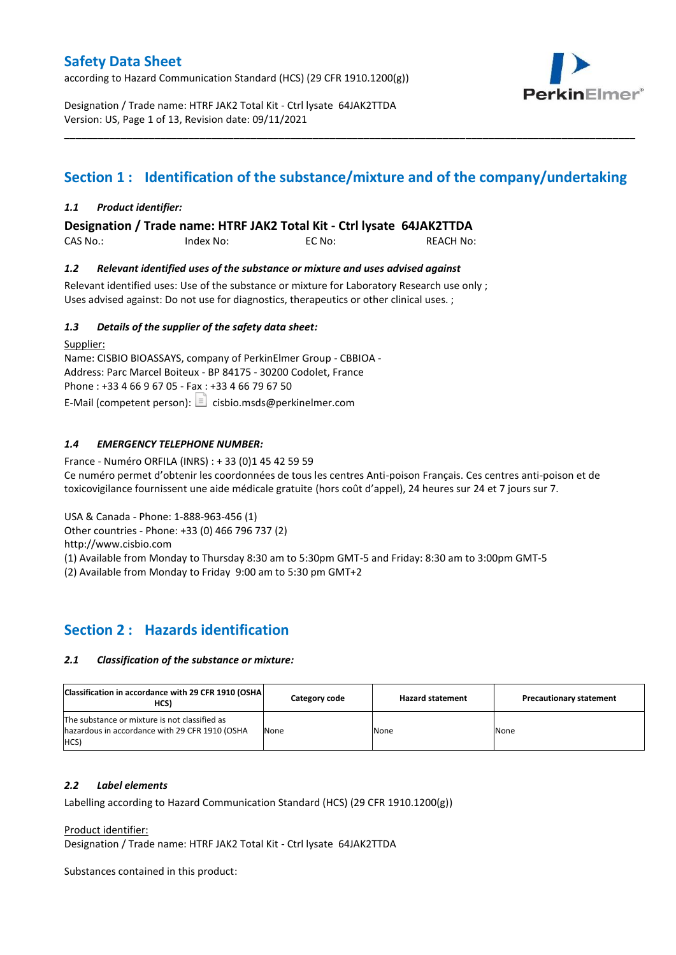according to Hazard Communication Standard (HCS) (29 CFR 1910.1200(g))



Designation / Trade name: HTRF JAK2 Total Kit - Ctrl lysate 64JAK2TTDA Version: US, Page 1 of 13, Revision date: 09/11/2021

# **Section 1 : Identification of the substance/mixture and of the company/undertaking**

\_\_\_\_\_\_\_\_\_\_\_\_\_\_\_\_\_\_\_\_\_\_\_\_\_\_\_\_\_\_\_\_\_\_\_\_\_\_\_\_\_\_\_\_\_\_\_\_\_\_\_\_\_\_\_\_\_\_\_\_\_\_\_\_\_\_\_\_\_\_\_\_\_\_\_\_\_\_\_\_\_\_\_\_\_\_\_\_\_\_\_\_\_\_\_\_\_\_\_\_\_

## *1.1 Product identifier:*

**Designation / Trade name: HTRF JAK2 Total Kit - Ctrl lysate 64JAK2TTDA** 

CAS No.: Index No: EC No: REACH No:

### *1.2 Relevant identified uses of the substance or mixture and uses advised against*

Relevant identified uses: Use of the substance or mixture for Laboratory Research use only ; Uses advised against: Do not use for diagnostics, therapeutics or other clinical uses. ;

### *1.3 Details of the supplier of the safety data sheet:*

Supplier: Name: CISBIO BIOASSAYS, company of PerkinElmer Group - CBBIOA - Address: Parc Marcel Boiteux - BP 84175 - 30200 Codolet, France Phone : +33 4 66 9 67 05 - Fax : +33 4 66 79 67 50 E-Mail (competent person):  $\Box$  cisbio.msds@perkinelmer.com

## *1.4 EMERGENCY TELEPHONE NUMBER:*

France - Numéro ORFILA (INRS) : + 33 (0)1 45 42 59 59 Ce numéro permet d'obtenir les coordonnées de tous les centres Anti-poison Français. Ces centres anti-poison et de toxicovigilance fournissent une aide médicale gratuite (hors coût d'appel), 24 heures sur 24 et 7 jours sur 7.

USA & Canada - Phone: 1-888-963-456 (1)

Other countries - Phone: +33 (0) 466 796 737 (2)

http://www.cisbio.com

(1) Available from Monday to Thursday 8:30 am to 5:30pm GMT-5 and Friday: 8:30 am to 3:00pm GMT-5

(2) Available from Monday to Friday 9:00 am to 5:30 pm GMT+2

## **Section 2 : Hazards identification**

### *2.1 Classification of the substance or mixture:*

| Classification in accordance with 29 CFR 1910 (OSHA)<br>HCS)                                            | Category code | <b>Hazard statement</b> | <b>Precautionary statement</b> |
|---------------------------------------------------------------------------------------------------------|---------------|-------------------------|--------------------------------|
| The substance or mixture is not classified as<br>hazardous in accordance with 29 CFR 1910 (OSHA<br>HCS) | None          | None                    | None                           |

### *2.2 Label elements*

Labelling according to Hazard Communication Standard (HCS) (29 CFR 1910.1200(g))

Product identifier:

Designation / Trade name: HTRF JAK2 Total Kit - Ctrl lysate 64JAK2TTDA

Substances contained in this product: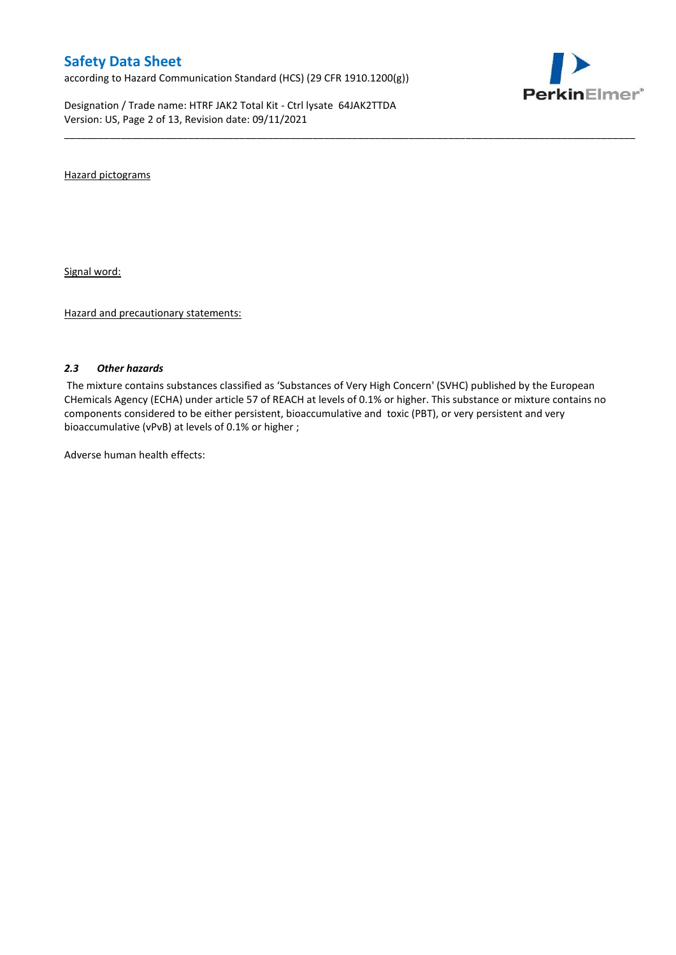according to Hazard Communication Standard (HCS) (29 CFR 1910.1200(g))

Designation / Trade name: HTRF JAK2 Total Kit - Ctrl lysate 64JAK2TTDA Version: US, Page 2 of 13, Revision date: 09/11/2021



Hazard pictograms

Signal word:

Hazard and precautionary statements:

### *2.3 Other hazards*

The mixture contains substances classified as 'Substances of Very High Concern' (SVHC) published by the European CHemicals Agency (ECHA) under article 57 of REACH at levels of 0.1% or higher. This substance or mixture contains no components considered to be either persistent, bioaccumulative and toxic (PBT), or very persistent and very bioaccumulative (vPvB) at levels of 0.1% or higher ;

\_\_\_\_\_\_\_\_\_\_\_\_\_\_\_\_\_\_\_\_\_\_\_\_\_\_\_\_\_\_\_\_\_\_\_\_\_\_\_\_\_\_\_\_\_\_\_\_\_\_\_\_\_\_\_\_\_\_\_\_\_\_\_\_\_\_\_\_\_\_\_\_\_\_\_\_\_\_\_\_\_\_\_\_\_\_\_\_\_\_\_\_\_\_\_\_\_\_\_\_\_

Adverse human health effects: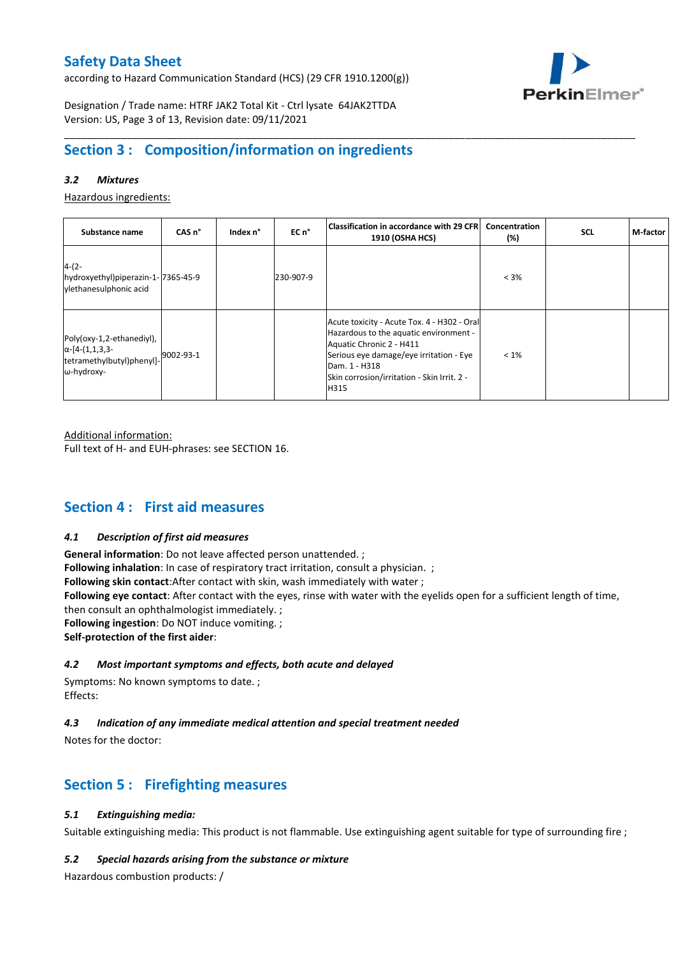according to Hazard Communication Standard (HCS) (29 CFR 1910.1200(g))



Designation / Trade name: HTRF JAK2 Total Kit - Ctrl lysate 64JAK2TTDA Version: US, Page 3 of 13, Revision date: 09/11/2021

## **Section 3 : Composition/information on ingredients**

## *3.2 Mixtures*

Hazardous ingredients:

| Substance name                                                                                 | CAS <sub>n</sub> ° | Index n° | EC n°     | Classification in accordance with 29 CFR <br><b>1910 (OSHA HCS)</b>                                                                                                                                                                  | Concentration<br>$(\%)$ | <b>SCL</b> | M-factor |
|------------------------------------------------------------------------------------------------|--------------------|----------|-----------|--------------------------------------------------------------------------------------------------------------------------------------------------------------------------------------------------------------------------------------|-------------------------|------------|----------|
| $4-(2-$<br>hydroxyethyl)piperazin-1-7365-45-9<br>vlethanesulphonic acid                        |                    |          | 230-907-9 |                                                                                                                                                                                                                                      | $< 3\%$                 |            |          |
| Poly(oxy-1,2-ethanediyl),<br>$\alpha$ -[4-(1,1,3,3-<br>tetramethylbutyl)phenyl]-<br>ω-hydroxy- | 9002-93-1          |          |           | Acute toxicity - Acute Tox. 4 - H302 - Oral<br>Hazardous to the aquatic environment -<br>Aquatic Chronic 2 - H411<br>Serious eye damage/eye irritation - Eye<br>Dam. 1 - H318<br>Skin corrosion/irritation - Skin Irrit. 2 -<br>H315 | $< 1\%$                 |            |          |

\_\_\_\_\_\_\_\_\_\_\_\_\_\_\_\_\_\_\_\_\_\_\_\_\_\_\_\_\_\_\_\_\_\_\_\_\_\_\_\_\_\_\_\_\_\_\_\_\_\_\_\_\_\_\_\_\_\_\_\_\_\_\_\_\_\_\_\_\_\_\_\_\_\_\_\_\_\_\_\_\_\_\_\_\_\_\_\_\_\_\_\_\_\_\_\_\_\_\_\_\_

Additional information:

Full text of H- and EUH-phrases: see SECTION 16.

## **Section 4 : First aid measures**

### *4.1 Description of first aid measures*

**General information**: Do not leave affected person unattended. ; **Following inhalation**: In case of respiratory tract irritation, consult a physician. ; **Following skin contact**:After contact with skin, wash immediately with water ; **Following eye contact**: After contact with the eyes, rinse with water with the eyelids open for a sufficient length of time, then consult an ophthalmologist immediately. ; **Following ingestion**: Do NOT induce vomiting. ; **Self-protection of the first aider**:

## *4.2 Most important symptoms and effects, both acute and delayed*

Symptoms: No known symptoms to date. ; Effects:

## *4.3 Indication of any immediate medical attention and special treatment needed*

Notes for the doctor:

## **Section 5 : Firefighting measures**

## *5.1 Extinguishing media:*

Suitable extinguishing media: This product is not flammable. Use extinguishing agent suitable for type of surrounding fire ;

### *5.2 Special hazards arising from the substance or mixture*

Hazardous combustion products: /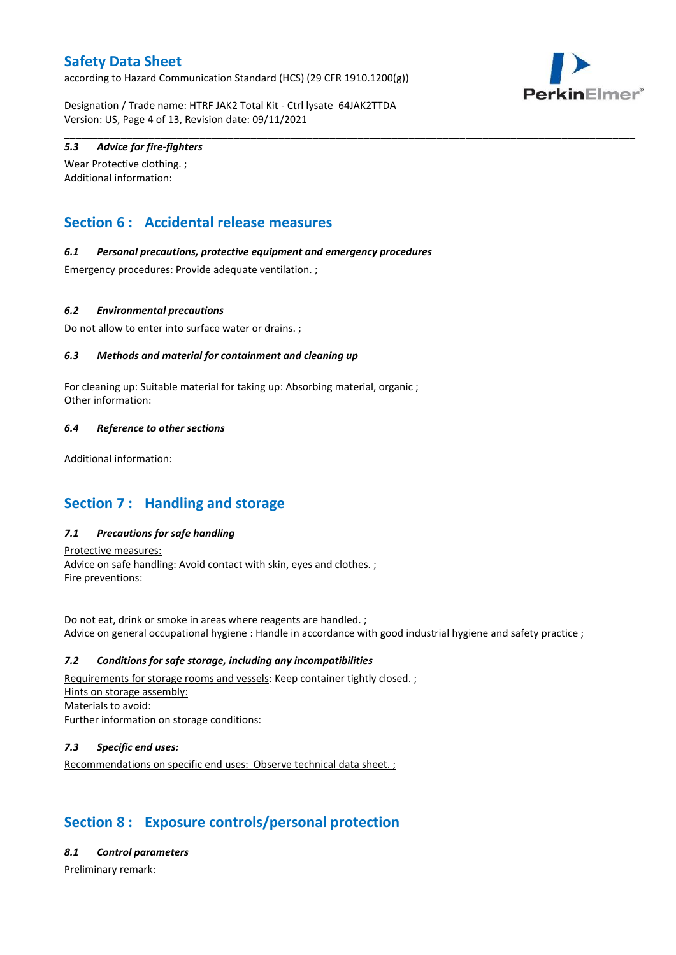according to Hazard Communication Standard (HCS) (29 CFR 1910.1200(g))



Designation / Trade name: HTRF JAK2 Total Kit - Ctrl lysate 64JAK2TTDA Version: US, Page 4 of 13, Revision date: 09/11/2021

\_\_\_\_\_\_\_\_\_\_\_\_\_\_\_\_\_\_\_\_\_\_\_\_\_\_\_\_\_\_\_\_\_\_\_\_\_\_\_\_\_\_\_\_\_\_\_\_\_\_\_\_\_\_\_\_\_\_\_\_\_\_\_\_\_\_\_\_\_\_\_\_\_\_\_\_\_\_\_\_\_\_\_\_\_\_\_\_\_\_\_\_\_\_\_\_\_\_\_\_\_

## *5.3 Advice for fire-fighters*

Wear Protective clothing. ; Additional information:

## **Section 6 : Accidental release measures**

### *6.1 Personal precautions, protective equipment and emergency procedures*

Emergency procedures: Provide adequate ventilation. ;

### *6.2 Environmental precautions*

Do not allow to enter into surface water or drains. ;

### *6.3 Methods and material for containment and cleaning up*

For cleaning up: Suitable material for taking up: Absorbing material, organic ; Other information:

### *6.4 Reference to other sections*

Additional information:

## **Section 7 : Handling and storage**

## *7.1 Precautions for safe handling*

Protective measures: Advice on safe handling: Avoid contact with skin, eyes and clothes. ; Fire preventions:

Do not eat, drink or smoke in areas where reagents are handled. ; Advice on general occupational hygiene : Handle in accordance with good industrial hygiene and safety practice ;

### *7.2 Conditions for safe storage, including any incompatibilities*

Requirements for storage rooms and vessels: Keep container tightly closed. ; Hints on storage assembly: Materials to avoid: Further information on storage conditions:

## *7.3 Specific end uses:*

Recommendations on specific end uses: Observe technical data sheet. ;

## **Section 8 : Exposure controls/personal protection**

### *8.1 Control parameters*

Preliminary remark: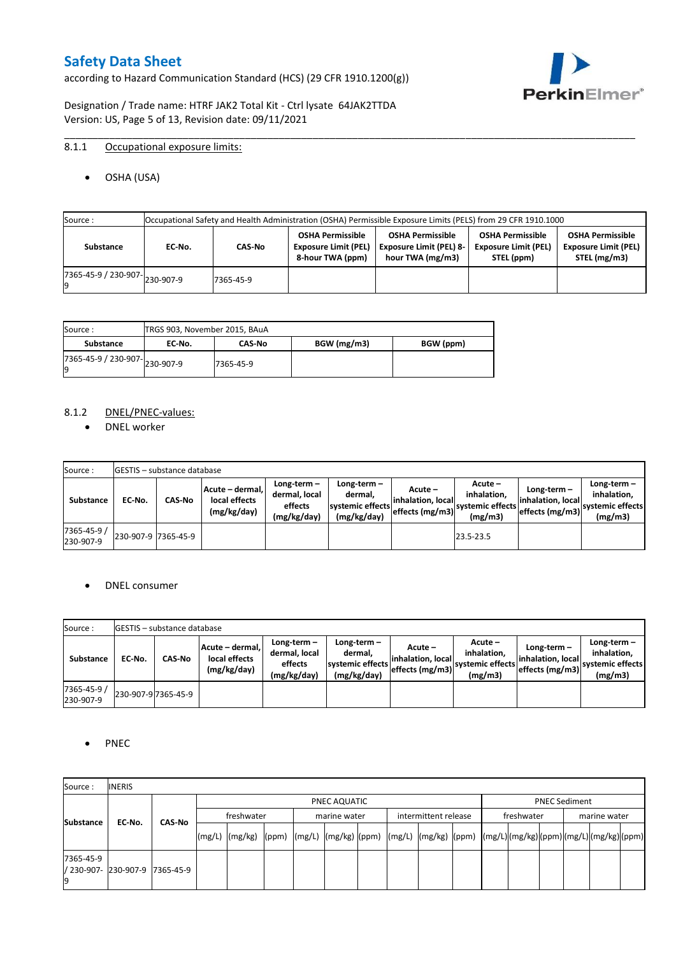according to Hazard Communication Standard (HCS) (29 CFR 1910.1200(g))



Designation / Trade name: HTRF JAK2 Total Kit - Ctrl lysate 64JAK2TTDA Version: US, Page 5 of 13, Revision date: 09/11/2021

## 8.1.1 Occupational exposure limits:

OSHA (USA)

| Source : |           |                                      |           |                                                                            | Occupational Safety and Health Administration (OSHA) Permissible Exposure Limits (PELS) from 29 CFR 1910.1000 |                                                                      |                                                                        |
|----------|-----------|--------------------------------------|-----------|----------------------------------------------------------------------------|---------------------------------------------------------------------------------------------------------------|----------------------------------------------------------------------|------------------------------------------------------------------------|
|          | Substance | EC No.                               | CAS-No    | <b>OSHA Permissible</b><br><b>Exposure Limit (PEL)</b><br>8-hour TWA (ppm) | <b>OSHA Permissible</b><br><b>Exposure Limit (PEL) 8-</b><br>hour TWA (mg/m3)                                 | <b>OSHA Permissible</b><br><b>Exposure Limit (PEL)</b><br>STEL (ppm) | <b>OSHA Permissible</b><br><b>Exposure Limit (PEL)</b><br>STEL (mg/m3) |
|          |           | $(7365-45-9) / 230-907$ $ 230-907-9$ | 7365-45-9 |                                                                            |                                                                                                               |                                                                      |                                                                        |

\_\_\_\_\_\_\_\_\_\_\_\_\_\_\_\_\_\_\_\_\_\_\_\_\_\_\_\_\_\_\_\_\_\_\_\_\_\_\_\_\_\_\_\_\_\_\_\_\_\_\_\_\_\_\_\_\_\_\_\_\_\_\_\_\_\_\_\_\_\_\_\_\_\_\_\_\_\_\_\_\_\_\_\_\_\_\_\_\_\_\_\_\_\_\_\_\_\_\_\_\_

| Source :                       |        | TRGS 903, November 2015, BAuA |             |           |  |  |  |  |  |  |  |
|--------------------------------|--------|-------------------------------|-------------|-----------|--|--|--|--|--|--|--|
| Substance                      | EC No. | <b>CAS-No</b>                 | BGW (mg/m3) | BGW (ppm) |  |  |  |  |  |  |  |
| ./365-45-9 / 230-907-230-907-9 |        | 7365-45-9                     |             |           |  |  |  |  |  |  |  |

### 8.1.2 DNEL/PNEC-values:

• DNEL worker

| Source:                  |                     | <b>IGESTIS – substance database</b> |                                                 |                                                          |                                                             |                                                  |                                                       |                                                          |                                                             |
|--------------------------|---------------------|-------------------------------------|-------------------------------------------------|----------------------------------------------------------|-------------------------------------------------------------|--------------------------------------------------|-------------------------------------------------------|----------------------------------------------------------|-------------------------------------------------------------|
| Substance                | EC-No.              | CAS-No                              | Acute – dermal,<br>local effects<br>(mg/kg/day) | Long-term $-$<br>dermal, local<br>effects<br>(mg/kg/day) | Long-term $-$<br>dermal,<br>systemic effects<br>(mg/kg/day) | Acute –<br>linhalation. local<br>effects (mg/m3) | Acute -<br>inhalation.<br>systemic effects<br>(mg/m3) | Long-term $-$<br>linhalation. local<br>effects (mg/m3) ` | $Long-term -$<br>inhalation.<br>systemic effects<br>(mg/m3) |
| 7365-45-9 /<br>230-907-9 | 230-907-9 7365-45-9 |                                     |                                                 |                                                          |                                                             |                                                  | 23.5-23.5                                             |                                                          |                                                             |

### DNEL consumer

| Source:                  |        | <b>IGESTIS – substance database</b> |                                                 |                                                          |                                                             |                                                        |                                                       |                                                        |                                                             |
|--------------------------|--------|-------------------------------------|-------------------------------------------------|----------------------------------------------------------|-------------------------------------------------------------|--------------------------------------------------------|-------------------------------------------------------|--------------------------------------------------------|-------------------------------------------------------------|
| Substance                | EC No. | CAS-No                              | Acute - dermal,<br>local effects<br>(mg/kg/day) | Long-term $-$<br>dermal, local<br>effects<br>(mg/kg/day) | $Long-term -$<br>dermal.<br>systemic effects<br>(mg/kg/day) | Acute –<br>linhalation. local<br>$effects$ (mg/m3) $ $ | Acute -<br>inhalation.<br>systemic effects<br>(mg/m3) | $Long-term -$<br>linhalation. local<br>effects (mg/m3) | Long-term $-$<br>inhalation.<br>systemic effects<br>(mg/m3) |
| 7365-45-9 /<br>230-907-9 |        | 230-907-9 7365-45-9                 |                                                 |                                                          |                                                             |                                                        |                                                       |                                                        |                                                             |

### • PNEC

| Source:                                 | <b>INERIS</b> |               |  |                                                                                                                                                                                                                                                                                                                                                                                                                                                                                               |            |  |  |              |  |  |                      |  |            |  |  |              |  |
|-----------------------------------------|---------------|---------------|--|-----------------------------------------------------------------------------------------------------------------------------------------------------------------------------------------------------------------------------------------------------------------------------------------------------------------------------------------------------------------------------------------------------------------------------------------------------------------------------------------------|------------|--|--|--------------|--|--|----------------------|--|------------|--|--|--------------|--|
|                                         |               |               |  | PNEC AQUATIC                                                                                                                                                                                                                                                                                                                                                                                                                                                                                  |            |  |  |              |  |  | <b>PNEC Sediment</b> |  |            |  |  |              |  |
|                                         |               |               |  |                                                                                                                                                                                                                                                                                                                                                                                                                                                                                               | freshwater |  |  | marine water |  |  | intermittent release |  | freshwater |  |  | marine water |  |
| <b>Substance</b>                        | EC-No.        | <b>CAS No</b> |  | $\lceil (mg/L) \rceil \cdot (mg/kg) \cdot (ppm) \cdot (mg/L) \cdot (mg/kg) \cdot (ppm) \cdot (mg/L) \cdot (mg/kg) \cdot (ppm) \cdot (mg/L) \cdot (mg/L) \cdot (mg/L) \cdot (mg/L) \cdot (mg/L) \cdot (mg/L) \cdot (mg/L) \cdot (mg/L) \cdot (mg/L) \cdot (mg/L) \cdot (mg/L) \cdot (mg/L) \cdot (mg/L) \cdot (mg/L) \cdot (mg/L) \cdot (mg/L) \cdot (gm/L) \cdot (gm/L) \cdot (gm/L) \cdot (mg/L) \cdot (mg/L) \cdot (gm/L) \cdot (gm/L) \cdot (gm/L) \cdot (gm/L) \cdot (gm/L) \cdot (gm/L)$ |            |  |  |              |  |  |                      |  |            |  |  |              |  |
| 7365-45-9<br>/ 230-907- 230-907-9<br>19 |               | 7365-45-9     |  |                                                                                                                                                                                                                                                                                                                                                                                                                                                                                               |            |  |  |              |  |  |                      |  |            |  |  |              |  |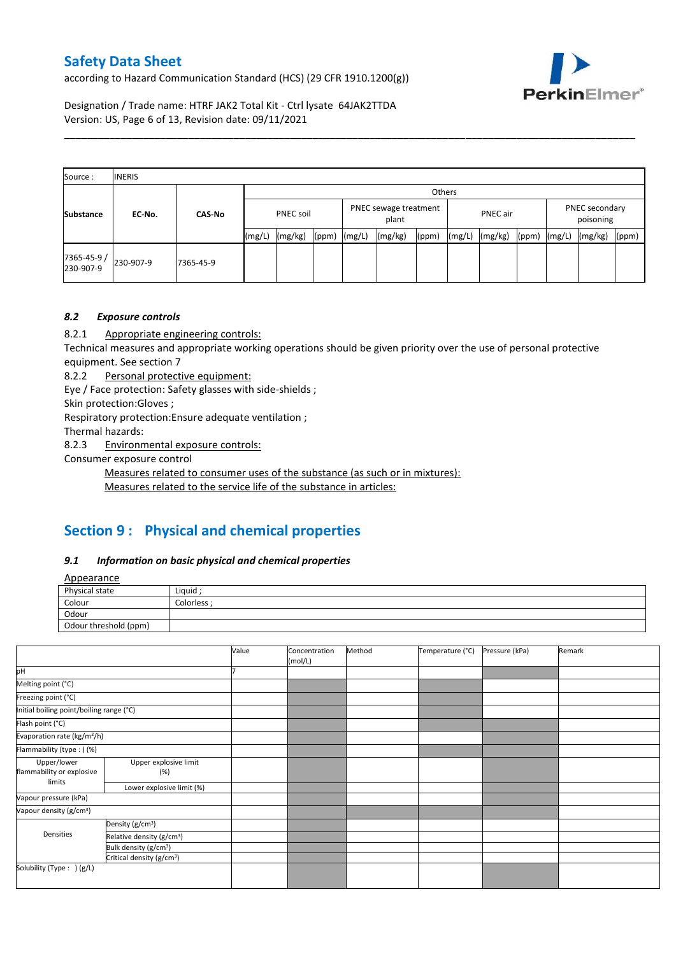according to Hazard Communication Standard (HCS) (29 CFR 1910.1200(g))



Designation / Trade name: HTRF JAK2 Total Kit - Ctrl lysate 64JAK2TTDA Version: US, Page 6 of 13, Revision date: 09/11/2021

| Source:                  | <b>INERIS</b> |               |        |           |        |        |         |                                   |        |         |       |                             |         |       |
|--------------------------|---------------|---------------|--------|-----------|--------|--------|---------|-----------------------------------|--------|---------|-------|-----------------------------|---------|-------|
|                          |               |               |        |           | Others |        |         |                                   |        |         |       |                             |         |       |
| <b>Substance</b>         | EC-No.        | <b>CAS-No</b> |        | PNEC soil |        |        | plant   | PNEC sewage treatment<br>PNEC air |        |         |       | PNEC secondary<br>poisoning |         |       |
|                          |               |               | (mg/L) | (mg/kg)   | (ppm)  | (mg/L) | (mg/kg) | (ppm)                             | (mg/L) | (mg/kg) | (ppm) | (mg/L)                      | (mg/kg) | (ppm) |
| 7365-45-9 /<br>230-907-9 | 230-907-9     | 7365-45-9     |        |           |        |        |         |                                   |        |         |       |                             |         |       |

\_\_\_\_\_\_\_\_\_\_\_\_\_\_\_\_\_\_\_\_\_\_\_\_\_\_\_\_\_\_\_\_\_\_\_\_\_\_\_\_\_\_\_\_\_\_\_\_\_\_\_\_\_\_\_\_\_\_\_\_\_\_\_\_\_\_\_\_\_\_\_\_\_\_\_\_\_\_\_\_\_\_\_\_\_\_\_\_\_\_\_\_\_\_\_\_\_\_\_\_\_

## *8.2 Exposure controls*

8.2.1 Appropriate engineering controls:

Technical measures and appropriate working operations should be given priority over the use of personal protective equipment. See section 7

8.2.2 Personal protective equipment:

Eye / Face protection: Safety glasses with side-shields ;

Skin protection:Gloves ;

Respiratory protection:Ensure adequate ventilation ;

Thermal hazards:

8.2.3 Environmental exposure controls:

Consumer exposure control

Measures related to consumer uses of the substance (as such or in mixtures):

Measures related to the service life of the substance in articles:

# **Section 9 : Physical and chemical properties**

### *9.1 Information on basic physical and chemical properties*

**Annearance** 

| <b>Appearance</b>     |             |
|-----------------------|-------------|
| Physical state        | Liquid      |
| Colour                | Colorless · |
| Odour                 |             |
| Odour threshold (ppm) |             |

|                                          |                                       | Value | Concentration<br>(mol/L) | Method | Temperature (°C) | Pressure (kPa) | Remark |
|------------------------------------------|---------------------------------------|-------|--------------------------|--------|------------------|----------------|--------|
| pH                                       |                                       |       |                          |        |                  |                |        |
| Melting point (°C)                       |                                       |       |                          |        |                  |                |        |
| Freezing point (°C)                      |                                       |       |                          |        |                  |                |        |
| Initial boiling point/boiling range (°C) |                                       |       |                          |        |                  |                |        |
| Flash point (°C)                         |                                       |       |                          |        |                  |                |        |
| Evaporation rate (kg/m <sup>2</sup> /h)  |                                       |       |                          |        |                  |                |        |
| Flammability (type:) (%)                 |                                       |       |                          |        |                  |                |        |
| Upper/lower<br>flammability or explosive | Upper explosive limit<br>(%)          |       |                          |        |                  |                |        |
| limits                                   | Lower explosive limit (%)             |       |                          |        |                  |                |        |
| Vapour pressure (kPa)                    |                                       |       |                          |        |                  |                |        |
| Vapour density (g/cm <sup>3</sup> )      |                                       |       |                          |        |                  |                |        |
|                                          | Density (g/cm <sup>3</sup> )          |       |                          |        |                  |                |        |
| Densities                                | Relative density (g/cm <sup>3</sup> ) |       |                          |        |                  |                |        |
|                                          | Bulk density (g/cm <sup>3</sup> )     |       |                          |        |                  |                |        |
|                                          | Critical density (g/cm <sup>3</sup> ) |       |                          |        |                  |                |        |
| Solubility (Type: ) (g/L)                |                                       |       |                          |        |                  |                |        |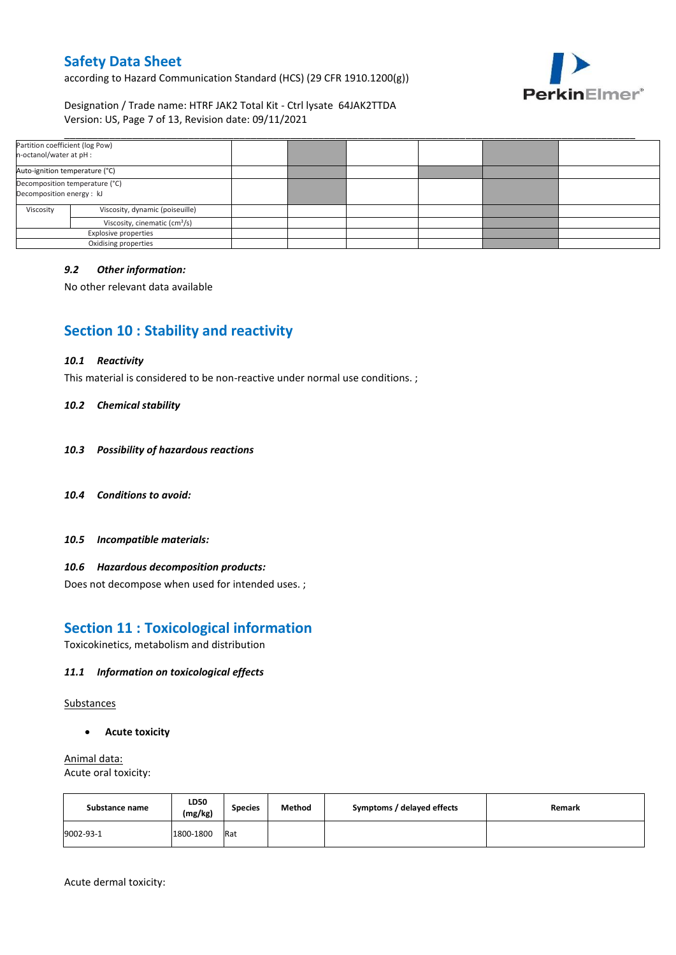according to Hazard Communication Standard (HCS) (29 CFR 1910.1200(g))



Designation / Trade name: HTRF JAK2 Total Kit - Ctrl lysate 64JAK2TTDA Version: US, Page 7 of 13, Revision date: 09/11/2021

| Partition coefficient (log Pow)<br>n-octanol/water at pH :  |                      |  |  |  |
|-------------------------------------------------------------|----------------------|--|--|--|
| Auto-ignition temperature (°C)                              |                      |  |  |  |
| Decomposition temperature (°C)<br>Decomposition energy : kJ |                      |  |  |  |
| Viscosity<br>Viscosity, dynamic (poiseuille)                |                      |  |  |  |
| Viscosity, cinematic (cm <sup>3</sup> /s)                   |                      |  |  |  |
| <b>Explosive properties</b>                                 |                      |  |  |  |
|                                                             | Oxidising properties |  |  |  |

### *9.2 Other information:*

No other relevant data available

## **Section 10 : Stability and reactivity**

#### *10.1 Reactivity*

This material is considered to be non-reactive under normal use conditions. ;

#### *10.2 Chemical stability*

- *10.3 Possibility of hazardous reactions*
- *10.4 Conditions to avoid:*
- *10.5 Incompatible materials:*

### *10.6 Hazardous decomposition products:*

Does not decompose when used for intended uses. ;

## **Section 11 : Toxicological information**

Toxicokinetics, metabolism and distribution

### *11.1 Information on toxicological effects*

Substances

**Acute toxicity**

Animal data: Acute oral toxicity:

| Substance name | LD50<br>(mg/kg) | <b>Species</b> | Method | Symptoms / delayed effects | Remark |
|----------------|-----------------|----------------|--------|----------------------------|--------|
| 9002-93-1      | 1800-1800       | Rat            |        |                            |        |

Acute dermal toxicity: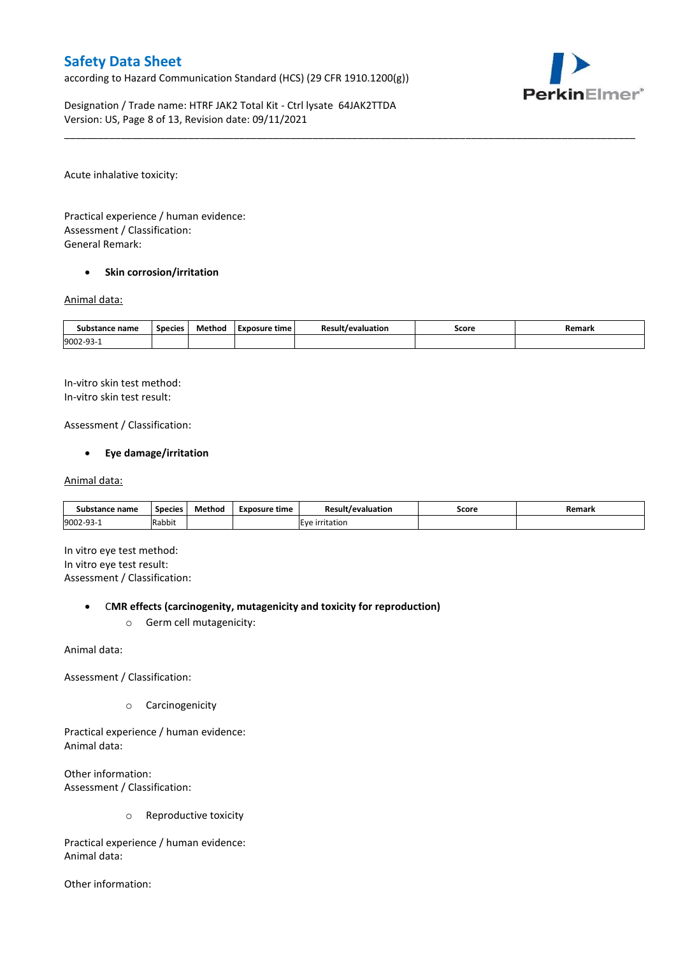according to Hazard Communication Standard (HCS) (29 CFR 1910.1200(g))



Designation / Trade name: HTRF JAK2 Total Kit - Ctrl lysate 64JAK2TTDA Version: US, Page 8 of 13, Revision date: 09/11/2021

Acute inhalative toxicity:

Practical experience / human evidence: Assessment / Classification: General Remark:

### **•** Skin corrosion/irritation

#### Animal data:

| Substance name   | <b>Species</b> | Method | Exposure time | <b>Result/evaluation</b> | Score | Remark |
|------------------|----------------|--------|---------------|--------------------------|-------|--------|
| 9002-93-<br>JJ - |                |        |               |                          |       |        |

\_\_\_\_\_\_\_\_\_\_\_\_\_\_\_\_\_\_\_\_\_\_\_\_\_\_\_\_\_\_\_\_\_\_\_\_\_\_\_\_\_\_\_\_\_\_\_\_\_\_\_\_\_\_\_\_\_\_\_\_\_\_\_\_\_\_\_\_\_\_\_\_\_\_\_\_\_\_\_\_\_\_\_\_\_\_\_\_\_\_\_\_\_\_\_\_\_\_\_\_\_

In-vitro skin test method: In-vitro skin test result:

Assessment / Classification:

### **Eye damage/irritation**

#### Animal data:

| Substance name   | <b>Species</b> | Method | Exposure time | <b>Result/evaluation</b> | Score | Remark |
|------------------|----------------|--------|---------------|--------------------------|-------|--------|
| 9002-93-<br>⊥−∟ت | Rabbit         |        |               | <b>IEve irritation</b>   |       |        |

In vitro eye test method: In vitro eye test result: Assessment / Classification:

#### C**MR effects (carcinogenity, mutagenicity and toxicity for reproduction)**

o Germ cell mutagenicity:

Animal data:

Assessment / Classification:

o Carcinogenicity

Practical experience / human evidence: Animal data:

Other information: Assessment / Classification:

o Reproductive toxicity

Practical experience / human evidence: Animal data:

Other information: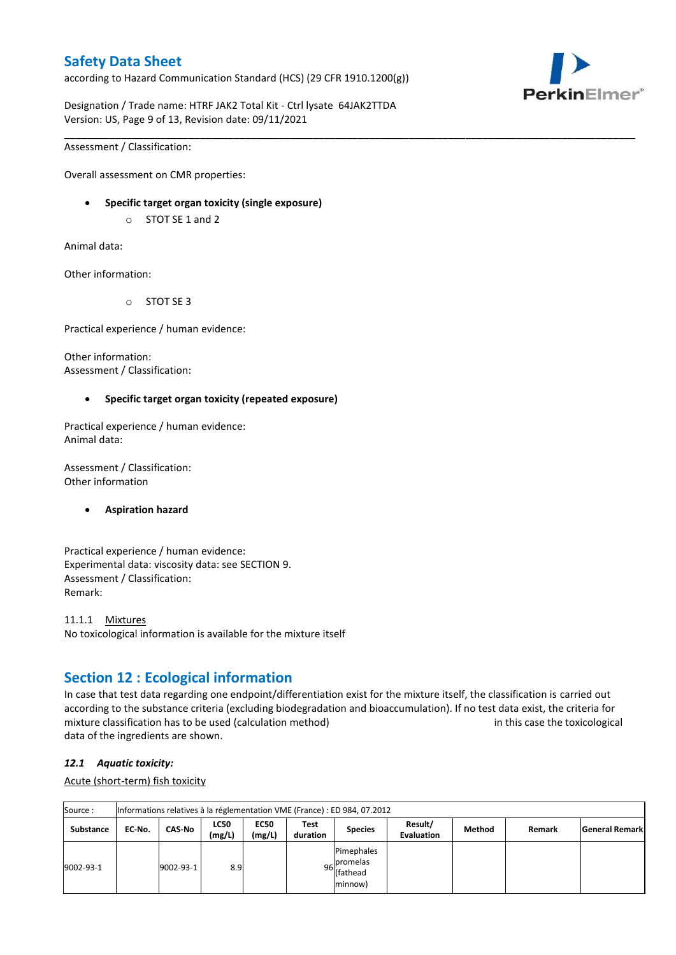according to Hazard Communication Standard (HCS) (29 CFR 1910.1200(g))



Designation / Trade name: HTRF JAK2 Total Kit - Ctrl lysate 64JAK2TTDA Version: US, Page 9 of 13, Revision date: 09/11/2021

Assessment / Classification:

Overall assessment on CMR properties:

- **Specific target organ toxicity (single exposure)**
	- o STOT SE 1 and 2

Animal data:

Other information:

o STOT SE 3

Practical experience / human evidence:

Other information: Assessment / Classification:

### **Specific target organ toxicity (repeated exposure)**

Practical experience / human evidence: Animal data:

Assessment / Classification: Other information

### **Aspiration hazard**

Practical experience / human evidence: Experimental data: viscosity data: see SECTION 9. Assessment / Classification: Remark:

11.1.1 Mixtures No toxicological information is available for the mixture itself

## **Section 12 : Ecological information**

In case that test data regarding one endpoint/differentiation exist for the mixture itself, the classification is carried out according to the substance criteria (excluding biodegradation and bioaccumulation). If no test data exist, the criteria for mixture classification has to be used (calculation method) in this case the toxicological data of the ingredients are shown.

\_\_\_\_\_\_\_\_\_\_\_\_\_\_\_\_\_\_\_\_\_\_\_\_\_\_\_\_\_\_\_\_\_\_\_\_\_\_\_\_\_\_\_\_\_\_\_\_\_\_\_\_\_\_\_\_\_\_\_\_\_\_\_\_\_\_\_\_\_\_\_\_\_\_\_\_\_\_\_\_\_\_\_\_\_\_\_\_\_\_\_\_\_\_\_\_\_\_\_\_\_

## *12.1 Aquatic toxicity:*

Acute (short-term) fish toxicity

| Source:          |        | Informations relatives à la réglementation VME (France) : ED 984, 07.2012 |                       |                       |                  |                                                               |                              |        |        |                       |  |  |  |
|------------------|--------|---------------------------------------------------------------------------|-----------------------|-----------------------|------------------|---------------------------------------------------------------|------------------------------|--------|--------|-----------------------|--|--|--|
| <b>Substance</b> | EC No. | <b>CAS-No</b>                                                             | <b>LC50</b><br>(mg/L) | <b>EC50</b><br>(mg/L) | Test<br>duration | <b>Species</b>                                                | Result/<br><b>Evaluation</b> | Method | Remark | <b>General Remark</b> |  |  |  |
| 9002-93-1        |        | 9002-93-1                                                                 | 8.9                   |                       |                  | Pimephales<br>. Ipromelas<br>96 riving<br>(fathead<br>minnow) |                              |        |        |                       |  |  |  |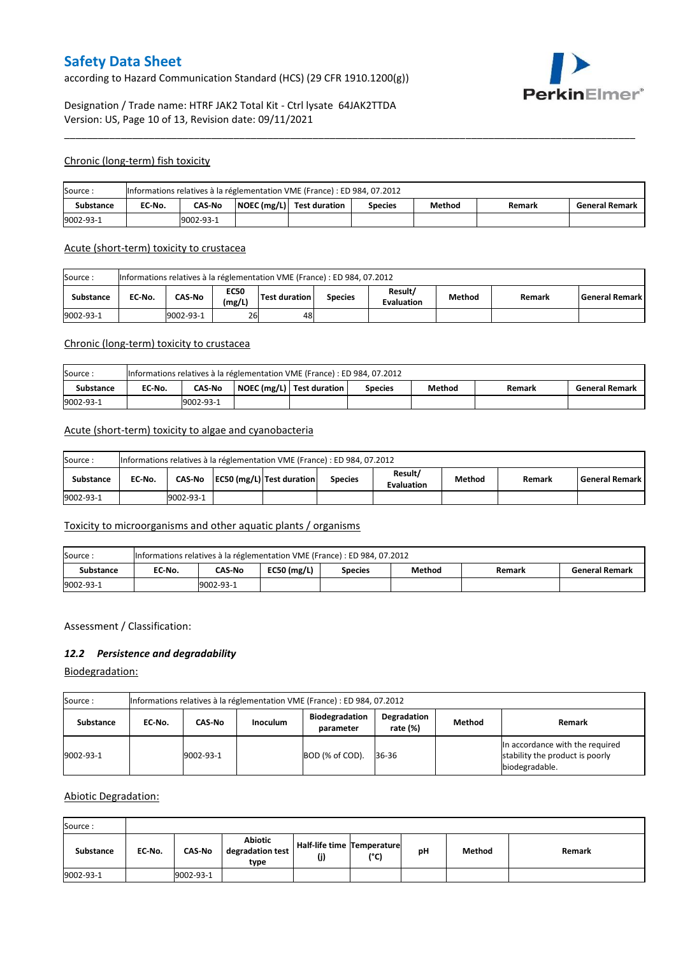according to Hazard Communication Standard (HCS) (29 CFR 1910.1200(g))



## Designation / Trade name: HTRF JAK2 Total Kit - Ctrl lysate 64JAK2TTDA Version: US, Page 10 of 13, Revision date: 09/11/2021

#### Chronic (long-term) fish toxicity

| Source:          | Informations relatives à la réglementation VME (France) : ED 984, 07.2012 |                                                                                                                    |  |  |  |  |  |  |  |  |  |
|------------------|---------------------------------------------------------------------------|--------------------------------------------------------------------------------------------------------------------|--|--|--|--|--|--|--|--|--|
| <b>Substance</b> | EC No.                                                                    | $\vert$ NOEC (mg/L) $\vert$ Test duration<br><b>CAS-No</b><br>Method<br><b>General Remark</b><br>Species<br>Remark |  |  |  |  |  |  |  |  |  |
| 9002-93-1        | 9002-93-1                                                                 |                                                                                                                    |  |  |  |  |  |  |  |  |  |

\_\_\_\_\_\_\_\_\_\_\_\_\_\_\_\_\_\_\_\_\_\_\_\_\_\_\_\_\_\_\_\_\_\_\_\_\_\_\_\_\_\_\_\_\_\_\_\_\_\_\_\_\_\_\_\_\_\_\_\_\_\_\_\_\_\_\_\_\_\_\_\_\_\_\_\_\_\_\_\_\_\_\_\_\_\_\_\_\_\_\_\_\_\_\_\_\_\_\_\_\_

#### Acute (short-term) toxicity to crustacea

| Informations relatives à la réglementation VME (France) : ED 984, 07.2012<br>Source: |                                                                                                                                                 |           |    |    |  |  |  |  |  |  |  |
|--------------------------------------------------------------------------------------|-------------------------------------------------------------------------------------------------------------------------------------------------|-----------|----|----|--|--|--|--|--|--|--|
| <b>Substance</b>                                                                     | Result/<br><b>EC50</b><br>CAS-No<br>Test duration<br>EC No.<br>Method<br>l General Remark l<br><b>Species</b><br>Remark<br>(mg/L)<br>Evaluation |           |    |    |  |  |  |  |  |  |  |
| 9002-93-1                                                                            |                                                                                                                                                 | 9002-93-1 | 26 | 48 |  |  |  |  |  |  |  |

### Chronic (long-term) toxicity to crustacea

| Source:   | Informations relatives à la réglementation VME (France) : ED 984, 07.2012                                             |  |  |  |  |  |  |  |  |  |  |
|-----------|-----------------------------------------------------------------------------------------------------------------------|--|--|--|--|--|--|--|--|--|--|
| Substance | NOEC (mg/L)   Test duration<br>Method<br>EC-No.<br><b>CAS-No</b><br><b>General Remark</b><br><b>Species</b><br>Remark |  |  |  |  |  |  |  |  |  |  |
| 9002-93-1 | 9002-93-1                                                                                                             |  |  |  |  |  |  |  |  |  |  |

### Acute (short-term) toxicity to algae and cyanobacteria

| Informations relatives à la réglementation VME (France) : ED 984, 07.2012<br>Source: |        |                                                                                                                                     |  |  |  |  |  |  |  |  |  |
|--------------------------------------------------------------------------------------|--------|-------------------------------------------------------------------------------------------------------------------------------------|--|--|--|--|--|--|--|--|--|
| <b>Substance</b>                                                                     | EC No. | Result/<br>CAS-No   EC50 (mg/L)   Test duration<br><b>General Remark</b><br>Method<br><b>Species</b><br>Remark<br><b>Evaluation</b> |  |  |  |  |  |  |  |  |  |
| 9002-93-1                                                                            |        | 9002-93-1                                                                                                                           |  |  |  |  |  |  |  |  |  |

## Toxicity to microorganisms and other aquatic plants / organisms

| Source:   | Informations relatives à la réglementation VME (France) : ED 984, 07.2012                        |  |  |  |  |  |  |  |  |  |  |
|-----------|--------------------------------------------------------------------------------------------------|--|--|--|--|--|--|--|--|--|--|
| Substance | $EC50$ (mg/L)<br>CAS-No<br>EC-No.<br>Method<br><b>General Remark</b><br>Remark<br><b>Species</b> |  |  |  |  |  |  |  |  |  |  |
| 9002-93-1 | 19002-93-1                                                                                       |  |  |  |  |  |  |  |  |  |  |

### Assessment / Classification:

### *12.2 Persistence and degradability*

Biodegradation:

| Source :         | Informations relatives à la réglementation VME (France) : ED 984, 07.2012                                                       |           |  |                 |       |  |                                                                                      |  |  |  |  |
|------------------|---------------------------------------------------------------------------------------------------------------------------------|-----------|--|-----------------|-------|--|--------------------------------------------------------------------------------------|--|--|--|--|
| <b>Substance</b> | Degradation<br><b>Biodegradation</b><br>Method<br><b>Remark</b><br>CAS-No<br><b>Inoculum</b><br>EC No.<br>rate (%)<br>parameter |           |  |                 |       |  |                                                                                      |  |  |  |  |
| 9002-93-1        |                                                                                                                                 | 9002-93-1 |  | BOD (% of COD). | 36-36 |  | In accordance with the required<br>stability the product is poorly<br>biodegradable. |  |  |  |  |

### Abiotic Degradation:

| Source:   |        |               |                                            |                                      |               |    |        |        |  |  |  |  |
|-----------|--------|---------------|--------------------------------------------|--------------------------------------|---------------|----|--------|--------|--|--|--|--|
| Substance | EC-No. | <b>CAS-No</b> | <b>Abiotic</b><br>degradation test<br>type | Half-life time   Temperature <br>(j) | $(^{\circ}C)$ | рH | Method | Remark |  |  |  |  |
| 9002-93-1 |        | 9002-93-1     |                                            |                                      |               |    |        |        |  |  |  |  |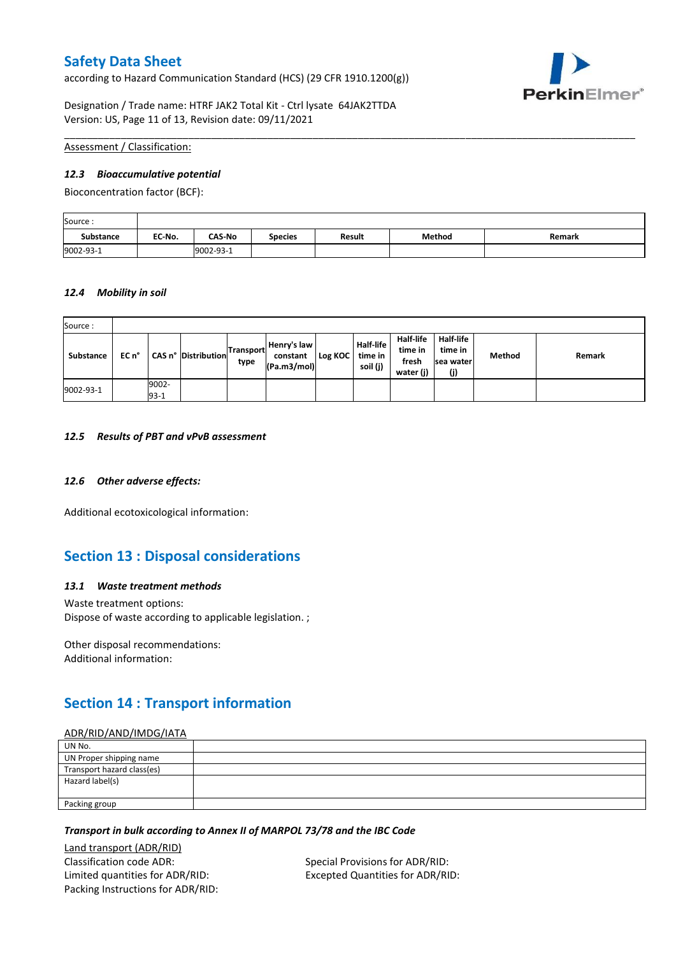according to Hazard Communication Standard (HCS) (29 CFR 1910.1200(g))



Designation / Trade name: HTRF JAK2 Total Kit - Ctrl lysate 64JAK2TTDA Version: US, Page 11 of 13, Revision date: 09/11/2021

### Assessment / Classification:

#### *12.3 Bioaccumulative potential*

Bioconcentration factor (BCF):

| Source:   |        |               |                |        |        |        |
|-----------|--------|---------------|----------------|--------|--------|--------|
| Substance | EC No. | <b>CAS-No</b> | <b>Species</b> | Result | Method | Remark |
| 9002-93-1 |        | 9002-93-1     |                |        |        |        |

\_\_\_\_\_\_\_\_\_\_\_\_\_\_\_\_\_\_\_\_\_\_\_\_\_\_\_\_\_\_\_\_\_\_\_\_\_\_\_\_\_\_\_\_\_\_\_\_\_\_\_\_\_\_\_\_\_\_\_\_\_\_\_\_\_\_\_\_\_\_\_\_\_\_\_\_\_\_\_\_\_\_\_\_\_\_\_\_\_\_\_\_\_\_\_\_\_\_\_\_\_

#### *12.4 Mobility in soil*

| Source:   |       |                 |                            |                   |                                        |         |                                         |                                                   |                                          |        |        |
|-----------|-------|-----------------|----------------------------|-------------------|----------------------------------------|---------|-----------------------------------------|---------------------------------------------------|------------------------------------------|--------|--------|
| Substance | EC n° |                 | <b>CAS n° Distribution</b> | Transport<br>type | Henry's law<br>constant<br>(Pa.m3/mol) | Log KOC | <b>Half-life</b><br>time in<br>soil (j) | <b>Half-life</b><br>time in<br>fresh<br>water (j) | Half-life<br>time in<br>sea water<br>(j) | Method | Remark |
| 9002-93-1 |       | 9002-<br>$93-1$ |                            |                   |                                        |         |                                         |                                                   |                                          |        |        |

#### *12.5 Results of PBT and vPvB assessment*

### *12.6 Other adverse effects:*

Additional ecotoxicological information:

## **Section 13 : Disposal considerations**

### *13.1 Waste treatment methods*

Waste treatment options: Dispose of waste according to applicable legislation. ;

Other disposal recommendations: Additional information:

## **Section 14 : Transport information**

### ADR/RID/AND/IMDG/IATA

| UN No.                     |  |
|----------------------------|--|
| UN Proper shipping name    |  |
| Transport hazard class(es) |  |
| Hazard label(s)            |  |
|                            |  |
| Packing group              |  |

### *Transport in bulk according to Annex II of MARPOL 73/78 and the IBC Code*

Land transport (ADR/RID) Classification code ADR: Special Provisions for ADR/RID: Limited quantities for ADR/RID: Excepted Quantities for ADR/RID: Packing Instructions for ADR/RID: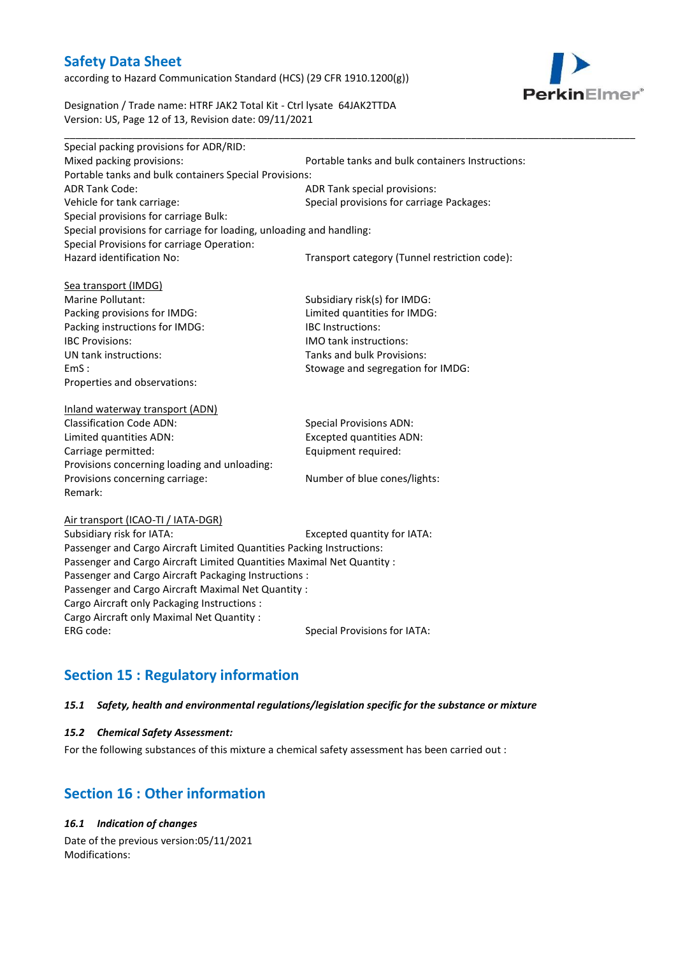according to Hazard Communication Standard (HCS) (29 CFR 1910.1200(g))



Designation / Trade name: HTRF JAK2 Total Kit - Ctrl lysate 64JAK2TTDA Version: US, Page 12 of 13, Revision date: 09/11/2021

| Special packing provisions for ADR/RID:                              |                                                  |
|----------------------------------------------------------------------|--------------------------------------------------|
| Mixed packing provisions:                                            | Portable tanks and bulk containers Instructions: |
| Portable tanks and bulk containers Special Provisions:               |                                                  |
| <b>ADR Tank Code:</b>                                                | ADR Tank special provisions:                     |
| Vehicle for tank carriage:                                           | Special provisions for carriage Packages:        |
| Special provisions for carriage Bulk:                                |                                                  |
| Special provisions for carriage for loading, unloading and handling: |                                                  |
| Special Provisions for carriage Operation:                           |                                                  |
| Hazard identification No:                                            | Transport category (Tunnel restriction code):    |
|                                                                      |                                                  |
| Sea transport (IMDG)                                                 |                                                  |
| Marine Pollutant:                                                    | Subsidiary risk(s) for IMDG:                     |
| Packing provisions for IMDG:                                         | Limited quantities for IMDG:                     |
| Packing instructions for IMDG:                                       | <b>IBC</b> Instructions:                         |
| <b>IBC Provisions:</b>                                               | <b>IMO</b> tank instructions:                    |
| UN tank instructions:                                                | Tanks and bulk Provisions:                       |
| EmS:                                                                 | Stowage and segregation for IMDG:                |
| Properties and observations:                                         |                                                  |
|                                                                      |                                                  |
| Inland waterway transport (ADN)                                      |                                                  |
| <b>Classification Code ADN:</b>                                      | <b>Special Provisions ADN:</b>                   |
| Limited quantities ADN:                                              | <b>Excepted quantities ADN:</b>                  |
| Carriage permitted:                                                  | Equipment required:                              |
| Provisions concerning loading and unloading:                         |                                                  |

Air transport (ICAO-TI / IATA-DGR)

Remark:

Subsidiary risk for IATA: Excepted quantity for IATA: Passenger and Cargo Aircraft Limited Quantities Packing Instructions: Passenger and Cargo Aircraft Limited Quantities Maximal Net Quantity : Passenger and Cargo Aircraft Packaging Instructions : Passenger and Cargo Aircraft Maximal Net Quantity : Cargo Aircraft only Packaging Instructions : Cargo Aircraft only Maximal Net Quantity : ERG code: Special Provisions for IATA:

Provisions concerning carriage: Number of blue cones/lights:

# **Section 15 : Regulatory information**

### *15.1 Safety, health and environmental regulations/legislation specific for the substance or mixture*

### *15.2 Chemical Safety Assessment:*

For the following substances of this mixture a chemical safety assessment has been carried out :

## **Section 16 : Other information**

*16.1 Indication of changes*

Date of the previous version:05/11/2021 Modifications: